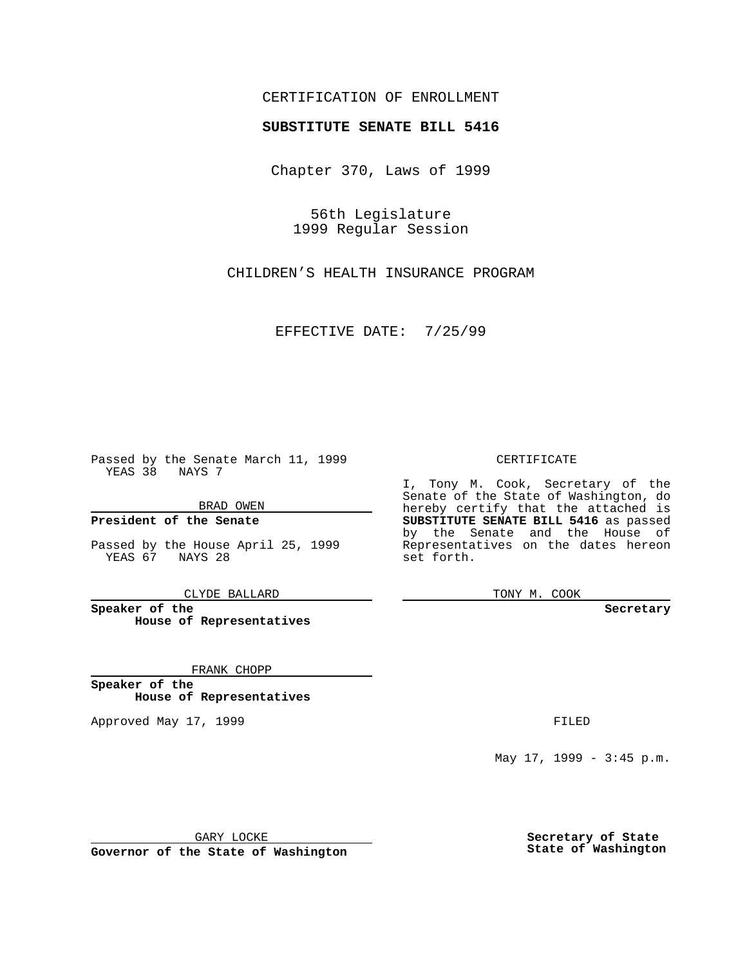## CERTIFICATION OF ENROLLMENT

## **SUBSTITUTE SENATE BILL 5416**

Chapter 370, Laws of 1999

56th Legislature 1999 Regular Session

CHILDREN'S HEALTH INSURANCE PROGRAM

EFFECTIVE DATE: 7/25/99

Passed by the Senate March 11, 1999 YEAS 38 NAYS 7

BRAD OWEN

**President of the Senate**

Passed by the House April 25, 1999 YEAS 67 NAYS 28

CLYDE BALLARD

**Speaker of the House of Representatives**

FRANK CHOPP

**Speaker of the House of Representatives**

Approved May 17, 1999 **FILED** 

CERTIFICATE

I, Tony M. Cook, Secretary of the Senate of the State of Washington, do hereby certify that the attached is **SUBSTITUTE SENATE BILL 5416** as passed by the Senate and the House of Representatives on the dates hereon set forth.

TONY M. COOK

**Secretary**

May 17, 1999 - 3:45 p.m.

GARY LOCKE

**Governor of the State of Washington**

**Secretary of State State of Washington**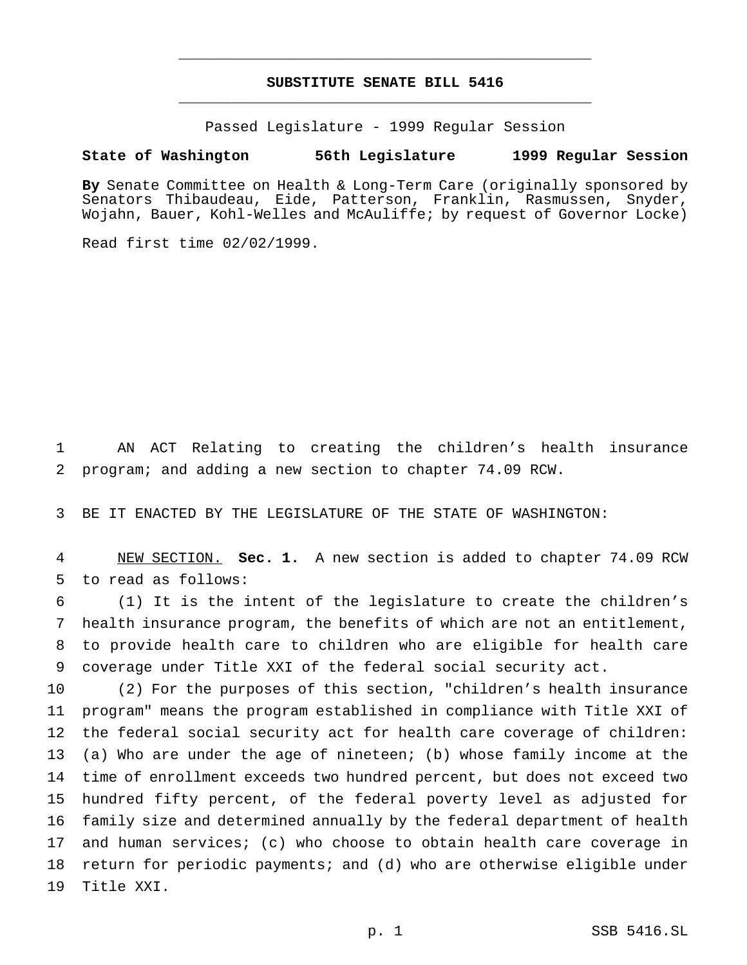## **SUBSTITUTE SENATE BILL 5416** \_\_\_\_\_\_\_\_\_\_\_\_\_\_\_\_\_\_\_\_\_\_\_\_\_\_\_\_\_\_\_\_\_\_\_\_\_\_\_\_\_\_\_\_\_\_\_

\_\_\_\_\_\_\_\_\_\_\_\_\_\_\_\_\_\_\_\_\_\_\_\_\_\_\_\_\_\_\_\_\_\_\_\_\_\_\_\_\_\_\_\_\_\_\_

Passed Legislature - 1999 Regular Session

## **State of Washington 56th Legislature 1999 Regular Session**

**By** Senate Committee on Health & Long-Term Care (originally sponsored by Senators Thibaudeau, Eide, Patterson, Franklin, Rasmussen, Snyder, Wojahn, Bauer, Kohl-Welles and McAuliffe; by request of Governor Locke)

Read first time 02/02/1999.

 AN ACT Relating to creating the children's health insurance program; and adding a new section to chapter 74.09 RCW.

BE IT ENACTED BY THE LEGISLATURE OF THE STATE OF WASHINGTON:

 NEW SECTION. **Sec. 1.** A new section is added to chapter 74.09 RCW to read as follows:

 (1) It is the intent of the legislature to create the children's health insurance program, the benefits of which are not an entitlement, to provide health care to children who are eligible for health care coverage under Title XXI of the federal social security act.

 (2) For the purposes of this section, "children's health insurance program" means the program established in compliance with Title XXI of the federal social security act for health care coverage of children: (a) Who are under the age of nineteen; (b) whose family income at the time of enrollment exceeds two hundred percent, but does not exceed two hundred fifty percent, of the federal poverty level as adjusted for family size and determined annually by the federal department of health and human services; (c) who choose to obtain health care coverage in return for periodic payments; and (d) who are otherwise eligible under Title XXI.